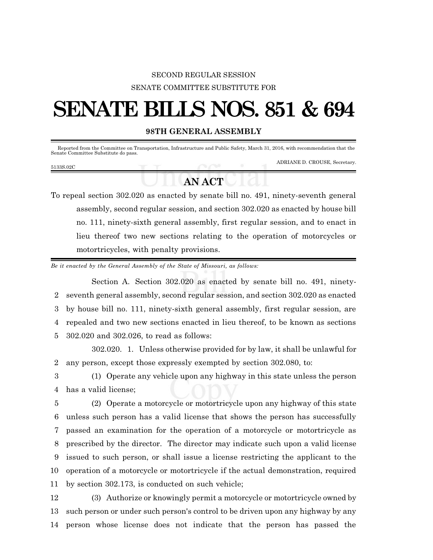## SECOND REGULAR SESSION SENATE COMMITTEE SUBSTITUTE FOR

## **SENATE BILLS NOS. 851 & 694**

## **98TH GENERAL ASSEMBLY**

Reported from the Committee on Transportation, Infrastructure and Public Safety, March 31, 2016, with recommendation that the Senate Committee Substitute do pass.

5133S.02C

ADRIANE D. CROUSE, Secretary.

## **AN ACT**

To repeal section 302.020 as enacted by senate bill no. 491, ninety-seventh general assembly, second regular session, and section 302.020 as enacted by house bill no. 111, ninety-sixth general assembly, first regular session, and to enact in lieu thereof two new sections relating to the operation of motorcycles or motortricycles, with penalty provisions.

*Be it enacted by the General Assembly of the State of Missouri, as follows:*

Section A. Section 302.020 as enacted by senate bill no. 491, ninety- seventh general assembly, second regular session, and section 302.020 as enacted by house bill no. 111, ninety-sixth general assembly, first regular session, are repealed and two new sections enacted in lieu thereof, to be known as sections 302.020 and 302.026, to read as follows:

302.020. 1. Unless otherwise provided for by law, it shall be unlawful for 2 any person, except those expressly exempted by section 302.080, to:

3 (1) Operate any vehicle upon any highway in this state unless the person 4 has a valid license;

 (2) Operate a motorcycle or motortricycle upon any highway of this state unless such person has a valid license that shows the person has successfully passed an examination for the operation of a motorcycle or motortricycle as prescribed by the director. The director may indicate such upon a valid license issued to such person, or shall issue a license restricting the applicant to the operation of a motorcycle or motortricycle if the actual demonstration, required by section 302.173, is conducted on such vehicle;

12 (3) Authorize or knowingly permit a motorcycle or motortricycle owned by 13 such person or under such person's control to be driven upon any highway by any 14 person whose license does not indicate that the person has passed the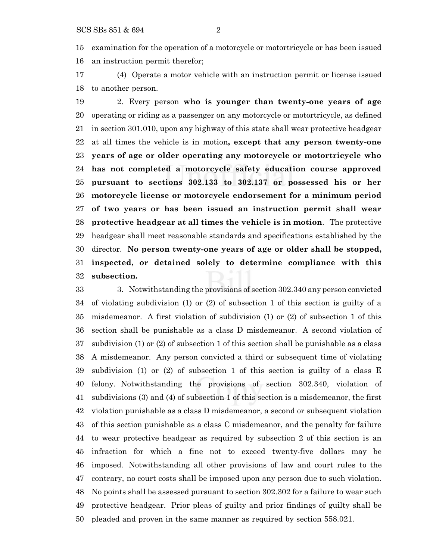examination for the operation of a motorcycle or motortricycle or has been issued an instruction permit therefor;

 (4) Operate a motor vehicle with an instruction permit or license issued to another person.

 2. Every person **who is younger than twenty-one years of age** operating or riding as a passenger on any motorcycle or motortricycle, as defined in section 301.010, upon any highway of this state shall wear protective headgear at all times the vehicle is in motion**, except that any person twenty-one years of age or older operating any motorcycle or motortricycle who has not completed a motorcycle safety education course approved pursuant to sections 302.133 to 302.137 or possessed his or her motorcycle license or motorcycle endorsement for a minimum period of two years or has been issued an instruction permit shall wear protective headgear at all times the vehicle is in motion**. The protective headgear shall meet reasonable standards and specifications established by the director. **No person twenty-one years of age or older shall be stopped, inspected, or detained solely to determine compliance with this subsection.**

 3. Notwithstanding the provisions of section 302.340 any person convicted of violating subdivision (1) or (2) of subsection 1 of this section is guilty of a misdemeanor. A first violation of subdivision (1) or (2) of subsection 1 of this section shall be punishable as a class D misdemeanor. A second violation of subdivision (1) or (2) of subsection 1 of this section shall be punishable as a class A misdemeanor. Any person convicted a third or subsequent time of violating subdivision (1) or (2) of subsection 1 of this section is guilty of a class E felony. Notwithstanding the provisions of section 302.340, violation of subdivisions (3) and (4) of subsection 1 of this section is a misdemeanor, the first violation punishable as a class D misdemeanor, a second or subsequent violation of this section punishable as a class C misdemeanor, and the penalty for failure to wear protective headgear as required by subsection 2 of this section is an infraction for which a fine not to exceed twenty-five dollars may be imposed. Notwithstanding all other provisions of law and court rules to the contrary, no court costs shall be imposed upon any person due to such violation. No points shall be assessed pursuant to section 302.302 for a failure to wear such protective headgear. Prior pleas of guilty and prior findings of guilty shall be pleaded and proven in the same manner as required by section 558.021.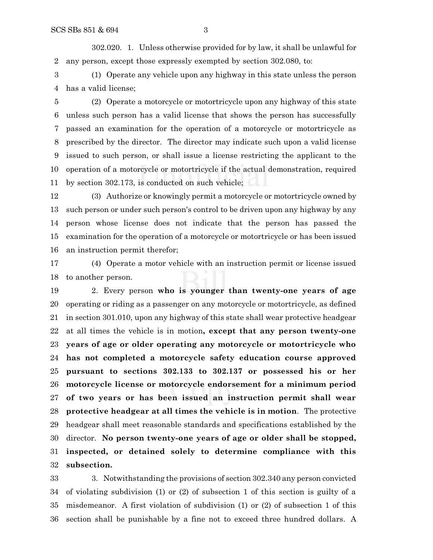302.020. 1. Unless otherwise provided for by law, it shall be unlawful for any person, except those expressly exempted by section 302.080, to:

 (1) Operate any vehicle upon any highway in this state unless the person has a valid license;

 (2) Operate a motorcycle or motortricycle upon any highway of this state unless such person has a valid license that shows the person has successfully passed an examination for the operation of a motorcycle or motortricycle as prescribed by the director. The director may indicate such upon a valid license issued to such person, or shall issue a license restricting the applicant to the operation of a motorcycle or motortricycle if the actual demonstration, required by section 302.173, is conducted on such vehicle;

 (3) Authorize or knowingly permit a motorcycle or motortricycle owned by such person or under such person's control to be driven upon any highway by any person whose license does not indicate that the person has passed the examination for the operation of a motorcycle or motortricycle or has been issued an instruction permit therefor;

 (4) Operate a motor vehicle with an instruction permit or license issued to another person.

 2. Every person **who is younger than twenty-one years of age** operating or riding as a passenger on any motorcycle or motortricycle, as defined in section 301.010, upon any highway of this state shall wear protective headgear at all times the vehicle is in motion**, except that any person twenty-one years of age or older operating any motorcycle or motortricycle who has not completed a motorcycle safety education course approved pursuant to sections 302.133 to 302.137 or possessed his or her motorcycle license or motorcycle endorsement for a minimum period of two years or has been issued an instruction permit shall wear protective headgear at all times the vehicle is in motion**. The protective headgear shall meet reasonable standards and specifications established by the director. **No person twenty-one years of age or older shall be stopped, inspected, or detained solely to determine compliance with this subsection.**

 3. Notwithstanding the provisions of section 302.340 any person convicted of violating subdivision (1) or (2) of subsection 1 of this section is guilty of a misdemeanor. A first violation of subdivision (1) or (2) of subsection 1 of this section shall be punishable by a fine not to exceed three hundred dollars. A